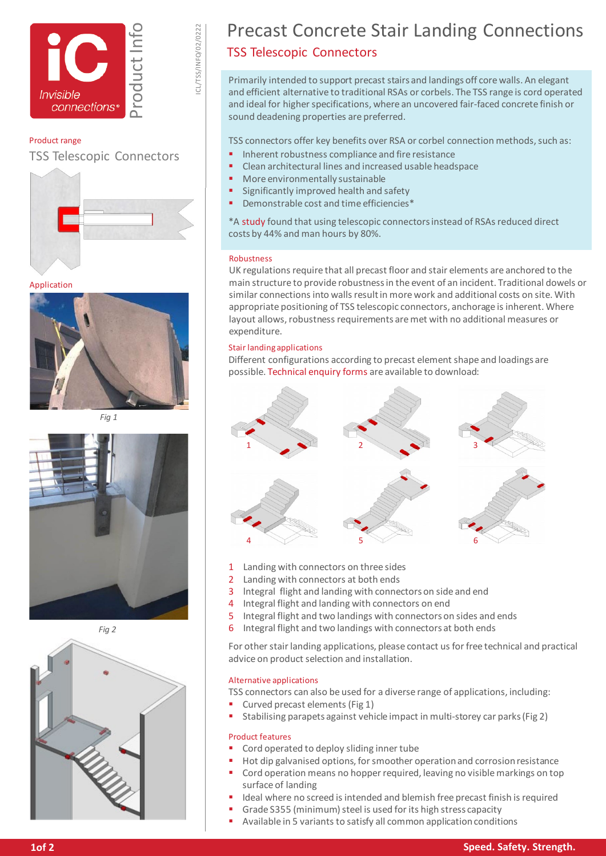



ICL/TSS/INFO/02/0222

#### Product range

TSS Telescopic Connectors



Application



*Fig 1*



*Fig 2*



### Precast Concrete Stair Landing Connections TSS Telescopic Connectors

Primarily intended to support precast stairs and landings off core walls. An elegant and efficient alternative to traditional RSAs or corbels. The TSS range is cord operated and ideal for higher specifications, where an uncovered fair-faced concrete finish or sound deadening properties are preferred.

TSS connectors offer key benefits over RSA or corbel connection methods, such as:

- Inherent robustness compliance and fire resistance
- Clean architectural lines and increased usable headspace
- More environmentally sustainable
- Significantly improved health and safety
- Demonstrable cost and time efficiencies\*

\*A [study](https://www.invisibleconnections.co.uk/download/954) found that using telescopic connectors instead of RSAs reduced direct costs by 44% and man hours by 80%.

#### Robustness

UK regulations require that all precast floor and stair elements are anchored to the main structure to provide robustness in the event of an incident. Traditional dowels or similar connections into walls result in more work and additional costs on site. With appropriate positioning of TSS telescopic connectors, anchorage is inherent. Where layout allows, robustness requirements are met with no additional measures or expenditure.

#### Stair landing applications

Different configurations according to precast element shape and loadings are possible. [Technical enquiry forms](https://www.invisibleconnections.co.uk/resources/enquiry-forms) are available to download:



- 1 Landing with connectors on three sides
- 2 Landing with connectors at both ends
- 3 lntegral flight and landing with connectors on side and end
- 4 Integral flight and landing with connectors on end
- 5 Integral flight and two landings with connectors on sides and ends
- 6 Integral flight and two landings with connectors at both ends

For other stair landing applications, please contact us for free technical and practical advice on product selection and installation.

#### Alternative applications

- TSS connectors can also be used for a diverse range of applications, including:
- Curved precast elements (Fig 1)
- Stabilising parapets against vehicle impact in multi-storey car parks (Fig 2)

#### Product features

- Cord operated to deploy sliding inner tube
	- Hot dip galvanised options, for smoother operation and corrosion resistance
- Cord operation means no hopper required, leaving no visible markings on top surface of landing
- Ideal where no screed is intended and blemish free precast finish is required
- Grade S355 (minimum) steel is used for its high stress capacity
- Available in 5 variants to satisfy all common application conditions